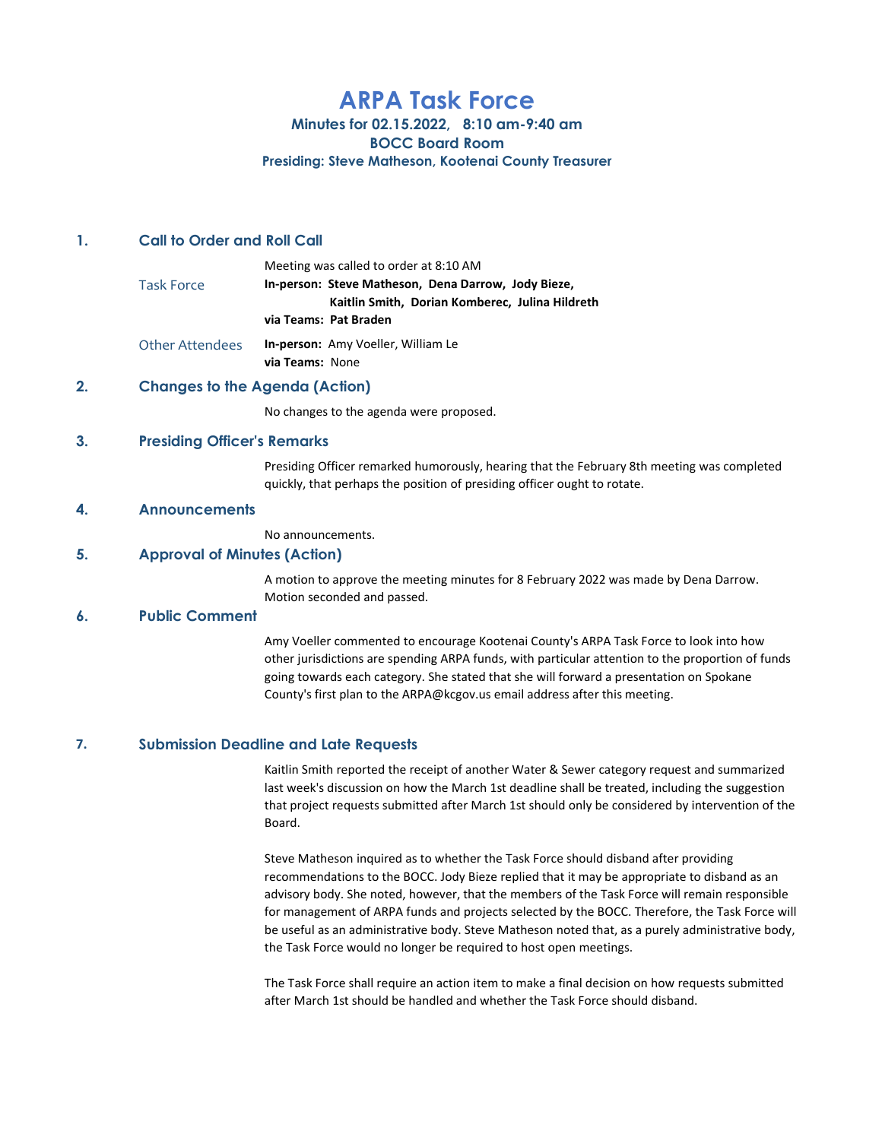# ARPA Task Force

# Minutes for 02.15.2022, 8:10 am-9:40 am BOCC Board Room

#### Presiding: Steve Matheson, Kootenai County Treasurer

#### 1. Call to Order and Roll Call

|                        | Meeting was called to order at 8:10 AM              |
|------------------------|-----------------------------------------------------|
| <b>Task Force</b>      | In-person: Steve Matheson, Dena Darrow, Jody Bieze, |
|                        | Kaitlin Smith, Dorian Komberec, Julina Hildreth     |
|                        | via Teams: Pat Braden                               |
| <b>Other Attendees</b> | In-person: Amy Voeller, William Le                  |

via Teams: None

# 2. Changes to the Agenda (Action)

No changes to the agenda were proposed.

#### 3. Presiding Officer's Remarks

Presiding Officer remarked humorously, hearing that the February 8th meeting was completed quickly, that perhaps the position of presiding officer ought to rotate.

#### 4. Announcements

No announcements.

# 5. Approval of Minutes (Action)

A motion to approve the meeting minutes for 8 February 2022 was made by Dena Darrow. Motion seconded and passed.

# 6. Public Comment

Amy Voeller commented to encourage Kootenai County's ARPA Task Force to look into how other jurisdictions are spending ARPA funds, with particular attention to the proportion of funds going towards each category. She stated that she will forward a presentation on Spokane County's first plan to the ARPA@kcgov.us email address after this meeting.

#### 7. Submission Deadline and Late Requests

Kaitlin Smith reported the receipt of another Water & Sewer category request and summarized last week's discussion on how the March 1st deadline shall be treated, including the suggestion that project requests submitted after March 1st should only be considered by intervention of the Board.

Steve Matheson inquired as to whether the Task Force should disband after providing recommendations to the BOCC. Jody Bieze replied that it may be appropriate to disband as an advisory body. She noted, however, that the members of the Task Force will remain responsible for management of ARPA funds and projects selected by the BOCC. Therefore, the Task Force will be useful as an administrative body. Steve Matheson noted that, as a purely administrative body, the Task Force would no longer be required to host open meetings.

The Task Force shall require an action item to make a final decision on how requests submitted after March 1st should be handled and whether the Task Force should disband.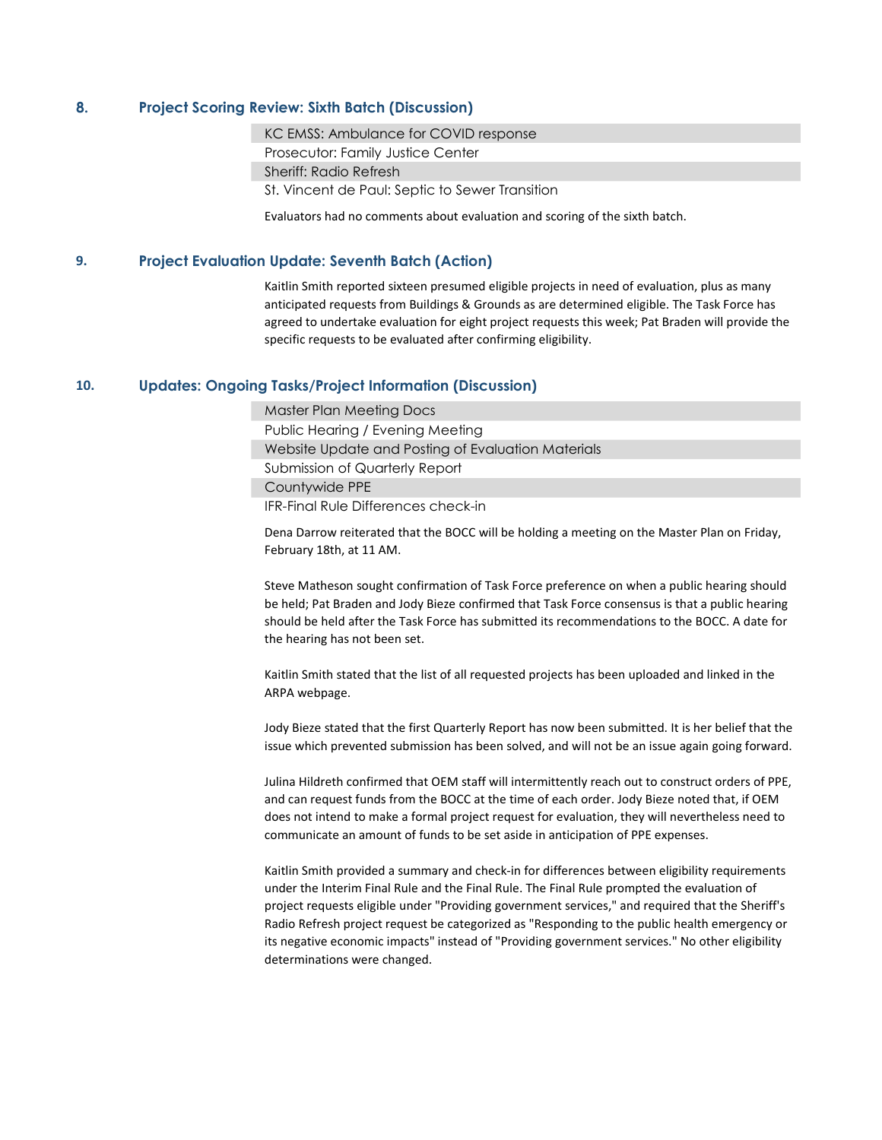# 8. Project Scoring Review: Sixth Batch (Discussion)

KC EMSS: Ambulance for COVID response

Prosecutor: Family Justice Center

Sheriff: Radio Refresh

St. Vincent de Paul: Septic to Sewer Transition

Evaluators had no comments about evaluation and scoring of the sixth batch.

# 9. Project Evaluation Update: Seventh Batch (Action)

Kaitlin Smith reported sixteen presumed eligible projects in need of evaluation, plus as many anticipated requests from Buildings & Grounds as are determined eligible. The Task Force has agreed to undertake evaluation for eight project requests this week; Pat Braden will provide the specific requests to be evaluated after confirming eligibility.

# 10. Updates: Ongoing Tasks/Project Information (Discussion)

Master Plan Meeting Docs Public Hearing / Evening Meeting Website Update and Posting of Evaluation Materials Submission of Quarterly Report Countywide PPE IFR-Final Rule Differences check-in

Dena Darrow reiterated that the BOCC will be holding a meeting on the Master Plan on Friday, February 18th, at 11 AM.

Steve Matheson sought confirmation of Task Force preference on when a public hearing should be held; Pat Braden and Jody Bieze confirmed that Task Force consensus is that a public hearing should be held after the Task Force has submitted its recommendations to the BOCC. A date for the hearing has not been set.

Kaitlin Smith stated that the list of all requested projects has been uploaded and linked in the ARPA webpage.

Jody Bieze stated that the first Quarterly Report has now been submitted. It is her belief that the issue which prevented submission has been solved, and will not be an issue again going forward.

Julina Hildreth confirmed that OEM staff will intermittently reach out to construct orders of PPE, and can request funds from the BOCC at the time of each order. Jody Bieze noted that, if OEM does not intend to make a formal project request for evaluation, they will nevertheless need to communicate an amount of funds to be set aside in anticipation of PPE expenses.

Kaitlin Smith provided a summary and check-in for differences between eligibility requirements under the Interim Final Rule and the Final Rule. The Final Rule prompted the evaluation of project requests eligible under "Providing government services," and required that the Sheriff's Radio Refresh project request be categorized as "Responding to the public health emergency or its negative economic impacts" instead of "Providing government services." No other eligibility determinations were changed.